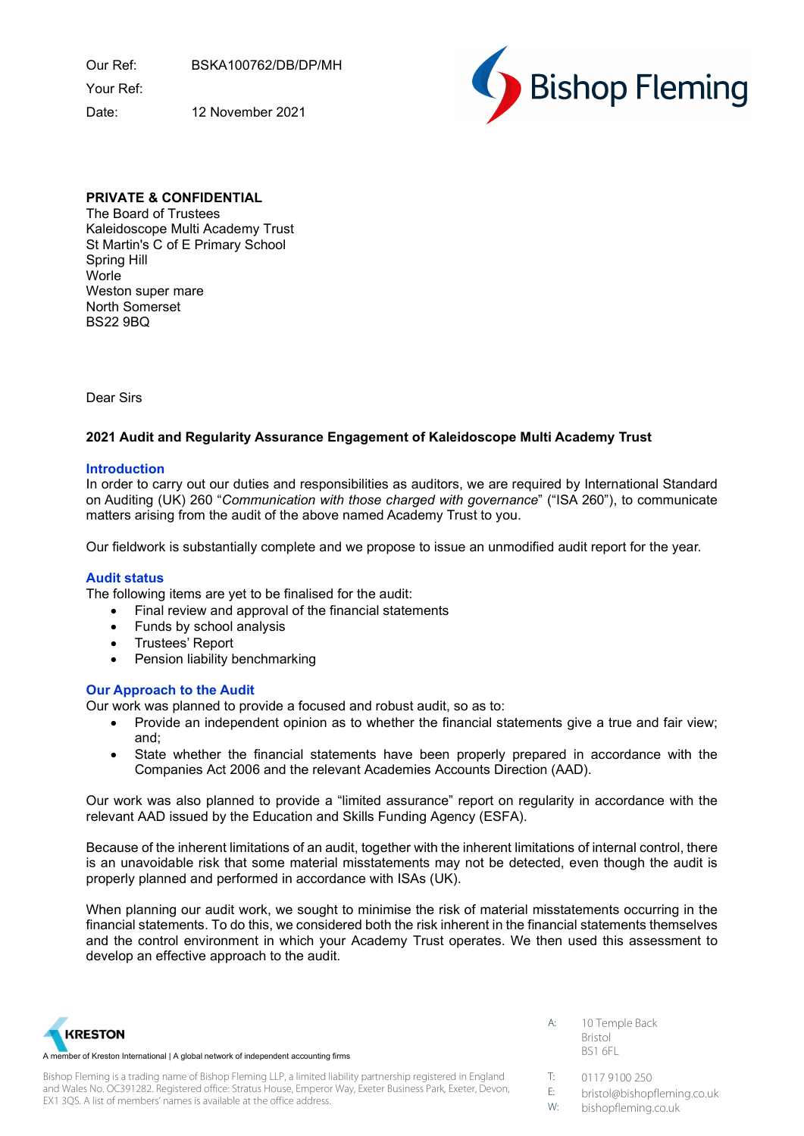Our Ref: BSKA100762/DB/DP/MH

Your Ref:

Date: 12 November 2021



# PRIVATE & CONFIDENTIAL

The Board of Trustees Kaleidoscope Multi Academy Trust St Martin's C of E Primary School Spring Hill **Worle** Weston super mare North Somerset BS22 9BQ

Dear Sirs

# 2021 Audit and Regularity Assurance Engagement of Kaleidoscope Multi Academy Trust

### Introduction

In order to carry out our duties and responsibilities as auditors, we are required by International Standard on Auditing (UK) 260 "Communication with those charged with governance" ("ISA 260"), to communicate matters arising from the audit of the above named Academy Trust to you.

Our fieldwork is substantially complete and we propose to issue an unmodified audit report for the year.

## Audit status

The following items are yet to be finalised for the audit:

- Final review and approval of the financial statements
- Funds by school analysis
- Trustees' Report
- Pension liability benchmarking

## Our Approach to the Audit

Our work was planned to provide a focused and robust audit, so as to:

- Provide an independent opinion as to whether the financial statements give a true and fair view; and;
- State whether the financial statements have been properly prepared in accordance with the Companies Act 2006 and the relevant Academies Accounts Direction (AAD).

Our work was also planned to provide a "limited assurance" report on regularity in accordance with the relevant AAD issued by the Education and Skills Funding Agency (ESFA).

Because of the inherent limitations of an audit, together with the inherent limitations of internal control, there is an unavoidable risk that some material misstatements may not be detected, even though the audit is properly planned and performed in accordance with ISAs (UK).

When planning our audit work, we sought to minimise the risk of material misstatements occurring in the financial statements. To do this, we considered both the risk inherent in the financial statements themselves and the control environment in which your Academy Trust operates. We then used this assessment to develop an effective approach to the audit.



Bishop Fleming is a trading name of Bishop Fleming LLP, a limited liability partnership registered in England and Wales No. OC391282. Registered office: Stratus House, Emperor Way, Exeter Business Park, Exeter, Devon, EX1 3QS. A list of members' names is available at the office address.

A: 10 Temple Back Bristol BS1 6FL

T: 0117 9100 250

- E: bristol@bishopfleming.co.uk
- W: bishopfleming.co.uk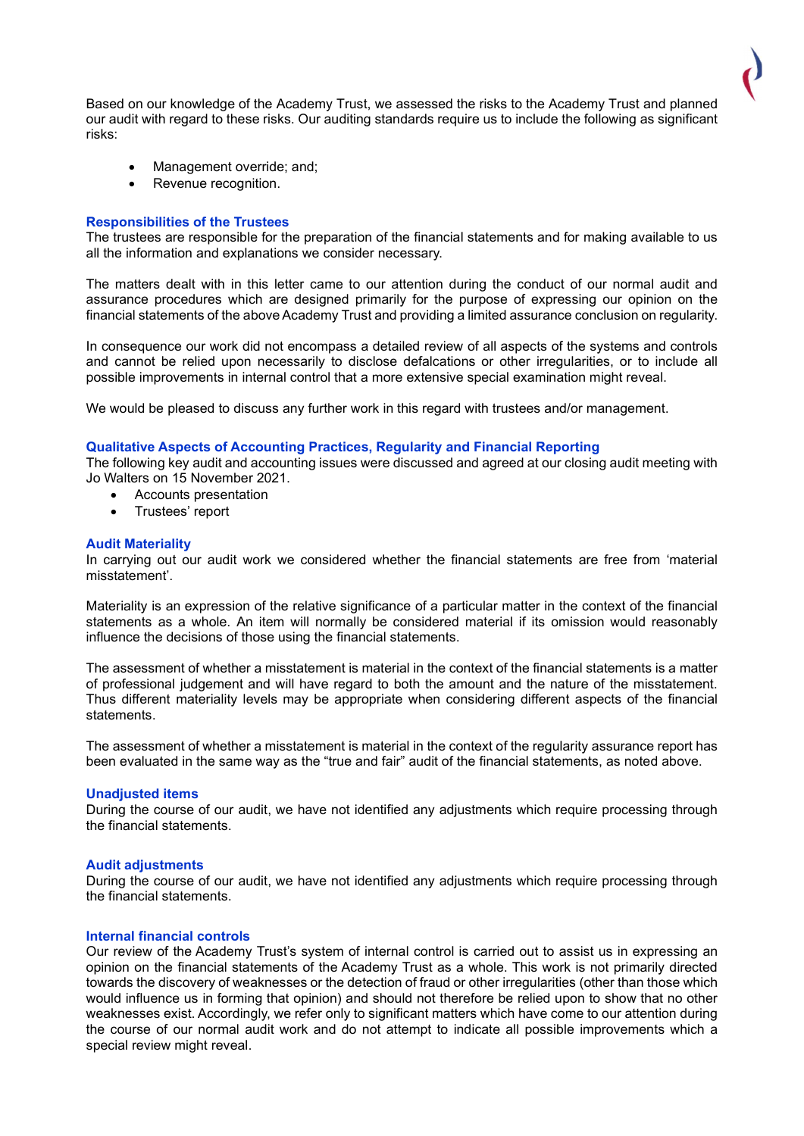Based on our knowledge of the Academy Trust, we assessed the risks to the Academy Trust and planned our audit with regard to these risks. Our auditing standards require us to include the following as significant risks:

- Management override; and;
- Revenue recognition.

### Responsibilities of the Trustees

The trustees are responsible for the preparation of the financial statements and for making available to us all the information and explanations we consider necessary.

The matters dealt with in this letter came to our attention during the conduct of our normal audit and assurance procedures which are designed primarily for the purpose of expressing our opinion on the financial statements of the above Academy Trust and providing a limited assurance conclusion on regularity.

In consequence our work did not encompass a detailed review of all aspects of the systems and controls and cannot be relied upon necessarily to disclose defalcations or other irregularities, or to include all possible improvements in internal control that a more extensive special examination might reveal.

We would be pleased to discuss any further work in this regard with trustees and/or management.

### Qualitative Aspects of Accounting Practices, Regularity and Financial Reporting

The following key audit and accounting issues were discussed and agreed at our closing audit meeting with Jo Walters on 15 November 2021.

- Accounts presentation
- Trustees' report

### Audit Materiality

In carrying out our audit work we considered whether the financial statements are free from 'material misstatement'.

Materiality is an expression of the relative significance of a particular matter in the context of the financial statements as a whole. An item will normally be considered material if its omission would reasonably influence the decisions of those using the financial statements.

The assessment of whether a misstatement is material in the context of the financial statements is a matter of professional judgement and will have regard to both the amount and the nature of the misstatement. Thus different materiality levels may be appropriate when considering different aspects of the financial statements.

The assessment of whether a misstatement is material in the context of the regularity assurance report has been evaluated in the same way as the "true and fair" audit of the financial statements, as noted above.

#### Unadjusted items

During the course of our audit, we have not identified any adjustments which require processing through the financial statements.

#### Audit adjustments

During the course of our audit, we have not identified any adjustments which require processing through the financial statements.

#### Internal financial controls

Our review of the Academy Trust's system of internal control is carried out to assist us in expressing an opinion on the financial statements of the Academy Trust as a whole. This work is not primarily directed towards the discovery of weaknesses or the detection of fraud or other irregularities (other than those which would influence us in forming that opinion) and should not therefore be relied upon to show that no other weaknesses exist. Accordingly, we refer only to significant matters which have come to our attention during the course of our normal audit work and do not attempt to indicate all possible improvements which a special review might reveal.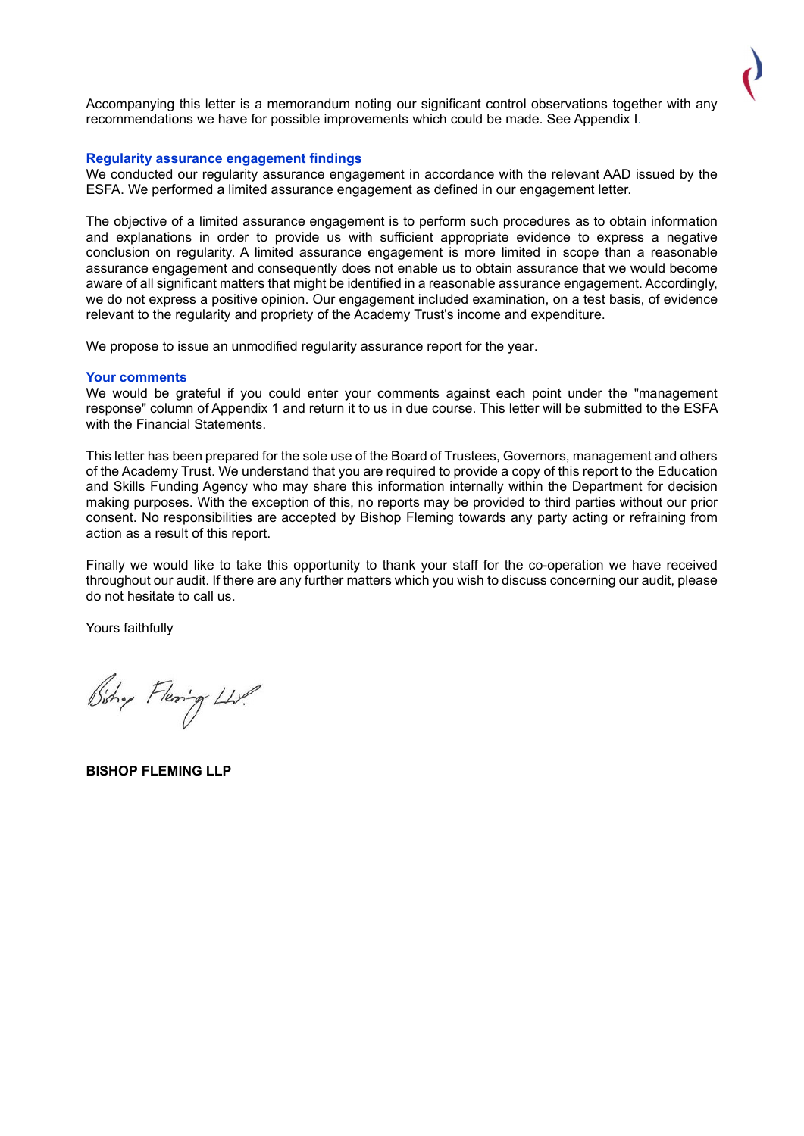Accompanying this letter is a memorandum noting our significant control observations together with any recommendations we have for possible improvements which could be made. See Appendix I.

#### Regularity assurance engagement findings

We conducted our regularity assurance engagement in accordance with the relevant AAD issued by the ESFA. We performed a limited assurance engagement as defined in our engagement letter.

The objective of a limited assurance engagement is to perform such procedures as to obtain information and explanations in order to provide us with sufficient appropriate evidence to express a negative conclusion on regularity. A limited assurance engagement is more limited in scope than a reasonable assurance engagement and consequently does not enable us to obtain assurance that we would become aware of all significant matters that might be identified in a reasonable assurance engagement. Accordingly, we do not express a positive opinion. Our engagement included examination, on a test basis, of evidence relevant to the regularity and propriety of the Academy Trust's income and expenditure.

We propose to issue an unmodified regularity assurance report for the year.

#### Your comments

We would be grateful if you could enter your comments against each point under the "management response" column of Appendix 1 and return it to us in due course. This letter will be submitted to the ESFA with the Financial Statements

This letter has been prepared for the sole use of the Board of Trustees, Governors, management and others of the Academy Trust. We understand that you are required to provide a copy of this report to the Education and Skills Funding Agency who may share this information internally within the Department for decision making purposes. With the exception of this, no reports may be provided to third parties without our prior consent. No responsibilities are accepted by Bishop Fleming towards any party acting or refraining from action as a result of this report.

Finally we would like to take this opportunity to thank your staff for the co-operation we have received throughout our audit. If there are any further matters which you wish to discuss concerning our audit, please do not hesitate to call us.

Yours faithfully

Bishy Flering LLP.

BISHOP FLEMING LLP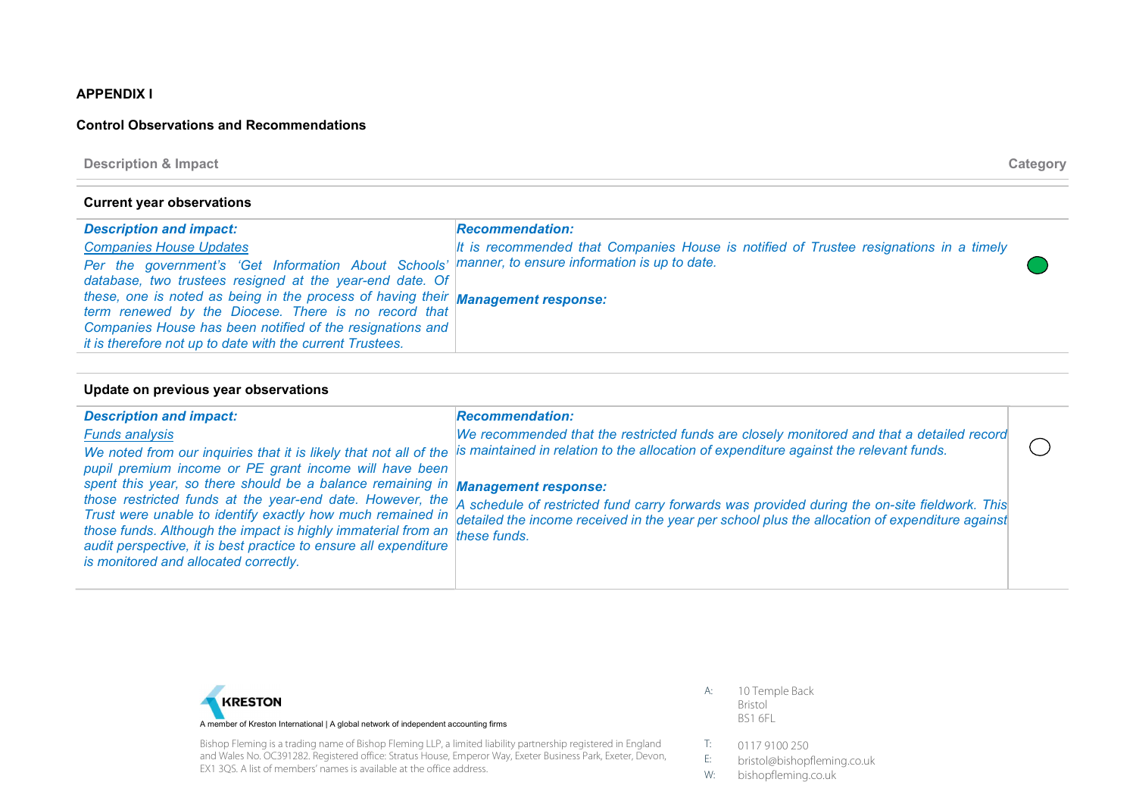## APPENDIX I

### Control Observations and Recommendations

Description & Impact Category

I

#### Current year observations

| <b>Description and impact:</b>                                                                     | <b>Recommendation:</b>                                                                 |
|----------------------------------------------------------------------------------------------------|----------------------------------------------------------------------------------------|
| <b>Companies House Updates</b>                                                                     | It is recommended that Companies House is notified of Trustee resignations in a timely |
| Per the government's 'Get Information About Schools'  manner, to ensure information is up to date. |                                                                                        |
| database, two trustees resigned at the year-end date. Of                                           |                                                                                        |
| these, one is noted as being in the process of having their <b>Management response:</b>            |                                                                                        |
| term renewed by the Diocese. There is no record that                                               |                                                                                        |
| Companies House has been notified of the resignations and                                          |                                                                                        |
| it is therefore not up to date with the current Trustees.                                          |                                                                                        |

#### Update on previous year observations

| <b>Description and impact:</b>                                                                                                                                                                                                                                                                                              | <b>Recommendation:</b>                                                                                                                                                                                                                                                   |  |
|-----------------------------------------------------------------------------------------------------------------------------------------------------------------------------------------------------------------------------------------------------------------------------------------------------------------------------|--------------------------------------------------------------------------------------------------------------------------------------------------------------------------------------------------------------------------------------------------------------------------|--|
| <b>Funds analysis</b><br>We noted from our inquiries that it is likely that not all of the<br>pupil premium income or PE grant income will have been                                                                                                                                                                        | We recommended that the restricted funds are closely monitored and that a detailed record<br>is maintained in relation to the allocation of expenditure against the relevant funds.                                                                                      |  |
| spent this year, so there should be a balance remaining in Management response:<br>Trust were unable to identify exactly how much remained in<br>those funds. Although the impact is highly immaterial from an<br>audit perspective, it is best practice to ensure all expenditure<br>is monitored and allocated correctly. | those restricted funds at the year-end date. However, the a schedule of restricted fund carry forwards was provided during the on-site fieldwork. This<br>detailed the income received in the year per school plus the allocation of expenditure against<br>these funds. |  |



Bishop Fleming is a trading name of Bishop Fleming LLP, a limited liability partnership registered in England and Wales No. OC391282. Registered office: Stratus House, Emperor Way, Exeter Business Park, Exeter, Devon, EX1 3QS. A list of members' names is available at the office address.

- A: 10 Temple Back Bristol BS1 6FL
- T: 0117 9100 250
- E: bristol@bishopfleming.co.uk<br>W: bishopfleming.co.uk
- bishopfleming.co.uk